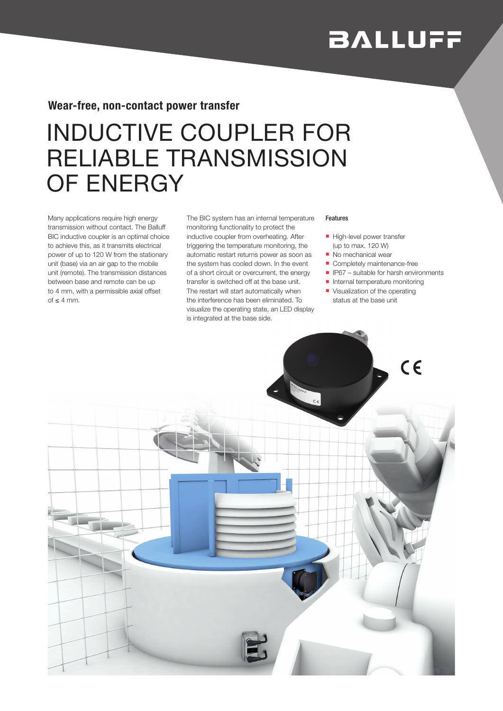# **BALLUFF**

## Wear-free, non-contact power transfer

## INDUCTIVE COUPLER FOR RELIABLE TRANSMISSION OF ENERGY

Many applications require high energy transmission without contact. The Balluff BIC inductive coupler is an optimal choice to achieve this, as it transmits electrical power of up to 120 W from the stationary unit (base) via an air gap to the mobile unit (remote). The transmission distances between base and remote can be up to 4 mm, with a permissible axial offset of ≤ 4 mm.

The BIC system has an internal temperature monitoring functionality to protect the inductive coupler from overheating. After triggering the temperature monitoring, the automatic restart returns power as soon as the system has cooled down. In the event of a short circuit or overcurrent, the energy transfer is switched off at the base unit. The restart will start automatically when the interference has been eliminated. To visualize the operating state, an LED display is integrated at the base side.

#### Features

- High-level power transfer (up to max. 120 W)
- No mechanical wear
- Completely maintenance-free
- $\blacksquare$  IP67 suitable for harsh environments
- **n** Internal temperature monitoring
- **Visualization of the operating** status at the base unit